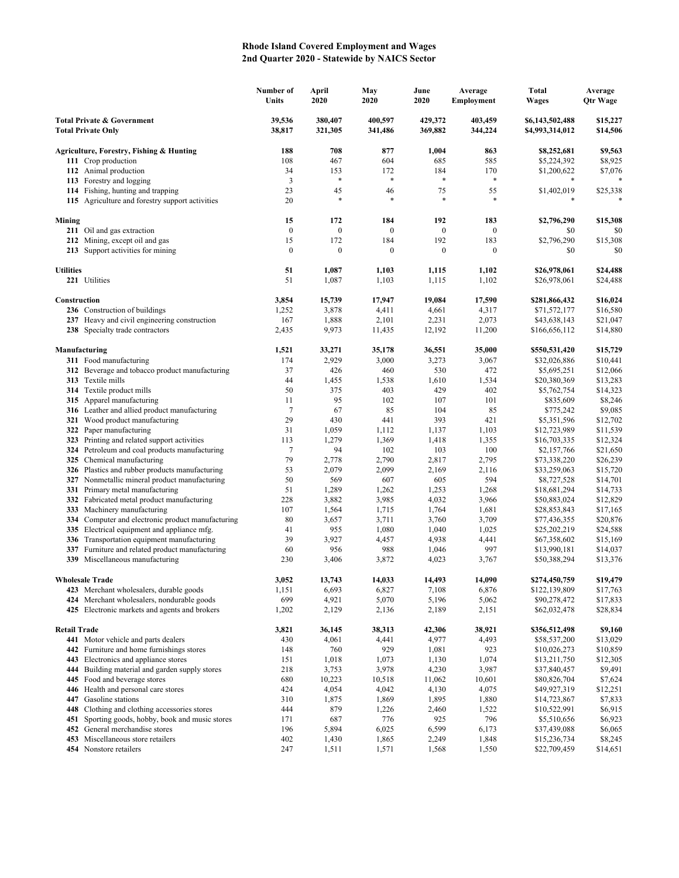## **Rhode Island Covered Employment and Wages 2nd Quarter 2020 - Statewide by NAICS Sector**

|                                                                    |                                                                                             | Number of<br>Units | April<br>2020      | May<br>2020        | June<br>2020       | Average<br>Employment | <b>Total</b><br>Wages              | Average<br><b>Qtr Wage</b> |
|--------------------------------------------------------------------|---------------------------------------------------------------------------------------------|--------------------|--------------------|--------------------|--------------------|-----------------------|------------------------------------|----------------------------|
| <b>Total Private &amp; Government</b><br><b>Total Private Only</b> |                                                                                             | 39,536<br>38,817   | 380,407<br>321,305 | 400,597<br>341,486 | 429,372<br>369,882 | 403,459<br>344,224    | \$6,143,502,488<br>\$4,993,314,012 | \$15,227<br>\$14,506       |
|                                                                    | Agriculture, Forestry, Fishing & Hunting                                                    | 188                | 708                | 877                | 1,004              | 863                   | \$8,252,681                        | \$9,563                    |
|                                                                    | 111 Crop production                                                                         | 108                | 467                | 604                | 685                | 585                   | \$5,224,392                        | \$8,925                    |
|                                                                    | 112 Animal production                                                                       | 34                 | 153                | 172                | 184                | 170                   | \$1,200,622                        | \$7,076                    |
|                                                                    | 113 Forestry and logging                                                                    | 3                  | *                  | $\ast$             | $\ast$             | $\ast$                |                                    |                            |
|                                                                    | 114 Fishing, hunting and trapping                                                           | 23                 | 45                 | 46                 | 75                 | 55                    | \$1,402,019                        | \$25,338                   |
|                                                                    | 115 Agriculture and forestry support activities                                             | 20                 | *                  | $\ast$             | $\ast$             |                       |                                    |                            |
| Mining                                                             |                                                                                             | 15                 | 172                | 184                | 192                | 183                   | \$2,796,290                        | \$15,308                   |
|                                                                    | 211 Oil and gas extraction                                                                  | $\boldsymbol{0}$   | $\boldsymbol{0}$   | $\mathbf{0}$       | $\boldsymbol{0}$   | $\mathbf{0}$          | \$0                                | \$0                        |
|                                                                    | 212 Mining, except oil and gas                                                              | 15                 | 172                | 184                | 192                | 183                   | \$2,796,290                        | \$15,308                   |
|                                                                    | 213 Support activities for mining                                                           | $\boldsymbol{0}$   | $\boldsymbol{0}$   | $\boldsymbol{0}$   | $\boldsymbol{0}$   | $\mathbf{0}$          | \$0                                | \$0                        |
| <b>Utilities</b>                                                   |                                                                                             | 51                 | 1,087              | 1,103              | 1,115              | 1,102                 | \$26,978,061                       | \$24,488                   |
|                                                                    | 221 Utilities                                                                               | 51                 | 1,087              | 1,103              | 1,115              | 1,102                 | \$26,978,061                       | \$24,488                   |
| Construction                                                       |                                                                                             | 3,854              | 15,739             | 17,947             | 19,084             | 17,590                | \$281,866,432                      | \$16,024                   |
|                                                                    | 236 Construction of buildings                                                               | 1,252              | 3,878              | 4,411              | 4,661              | 4,317                 | \$71,572,177                       | \$16,580                   |
|                                                                    | 237 Heavy and civil engineering construction                                                | 167                | 1,888              | 2,101              | 2,231              | 2,073                 | \$43,638,143                       | \$21,047                   |
|                                                                    | 238 Specialty trade contractors                                                             | 2,435              | 9,973              | 11,435             | 12,192             | 11,200                | \$166,656,112                      | \$14,880                   |
|                                                                    | Manufacturing                                                                               | 1,521              | 33,271             | 35,178             | 36,551             | 35,000                | \$550,531,420                      | \$15,729                   |
|                                                                    | 311 Food manufacturing                                                                      | 174                | 2,929              | 3,000              | 3,273              | 3,067                 | \$32,026,886                       | \$10,441                   |
|                                                                    | 312 Beverage and tobacco product manufacturing                                              | 37                 | 426                | 460                | 530                | 472                   | \$5,695,251                        | \$12,066                   |
|                                                                    | 313 Textile mills                                                                           | 44                 | 1,455              | 1,538              | 1,610              | 1,534                 | \$20,380,369                       | \$13,283                   |
|                                                                    | 314 Textile product mills                                                                   | 50                 | 375                | 403                | 429                | 402                   | \$5,762,754                        | \$14,323                   |
|                                                                    | 315 Apparel manufacturing                                                                   | 11                 | 95                 | 102                | 107                | 101                   | \$835,609                          | \$8,246                    |
|                                                                    | 316 Leather and allied product manufacturing                                                | $\tau$             | 67                 | 85                 | 104                | 85                    | \$775,242                          | \$9,085                    |
| 322                                                                | 321 Wood product manufacturing                                                              | 29<br>31           | 430<br>1,059       | 441<br>1,112       | 393<br>1,137       | 421<br>1,103          | \$5,351,596<br>\$12,723,989        | \$12,702                   |
|                                                                    | Paper manufacturing<br>323 Printing and related support activities                          | 113                | 1,279              | 1,369              | 1,418              | 1,355                 | \$16,703,335                       | \$11,539<br>\$12,324       |
|                                                                    | 324 Petroleum and coal products manufacturing                                               | $\tau$             | 94                 | 102                | 103                | 100                   | \$2,157,766                        | \$21,650                   |
|                                                                    | 325 Chemical manufacturing                                                                  | 79                 | 2,778              | 2,790              | 2,817              | 2,795                 | \$73,338,220                       | \$26,239                   |
|                                                                    | 326 Plastics and rubber products manufacturing                                              | 53                 | 2,079              | 2,099              | 2,169              | 2,116                 | \$33,259,063                       | \$15,720                   |
|                                                                    | 327 Nonmetallic mineral product manufacturing                                               | 50                 | 569                | 607                | 605                | 594                   | \$8,727,528                        | \$14,701                   |
|                                                                    | 331 Primary metal manufacturing                                                             | 51                 | 1,289              | 1,262              | 1,253              | 1,268                 | \$18,681,294                       | \$14,733                   |
|                                                                    | 332 Fabricated metal product manufacturing                                                  | 228                | 3,882              | 3,985              | 4,032              | 3,966                 | \$50,883,024                       | \$12,829                   |
| 333                                                                | Machinery manufacturing                                                                     | 107                | 1,564              | 1,715              | 1,764              | 1,681                 | \$28,853,843                       | \$17,165                   |
| 334                                                                | Computer and electronic product manufacturing                                               | 80                 | 3,657              | 3,711              | 3,760              | 3,709                 | \$77,436,355                       | \$20,876                   |
| 335                                                                | Electrical equipment and appliance mfg.                                                     | 41                 | 955                | 1,080              | 1,040              | 1,025                 | \$25,202,219                       | \$24,588                   |
| 336                                                                | Transportation equipment manufacturing                                                      | 39                 | 3,927              | 4,457              | 4,938              | 4,441                 | \$67,358,602                       | \$15,169                   |
| 337                                                                | Furniture and related product manufacturing                                                 | 60                 | 956                | 988                | 1,046              | 997                   | \$13,990,181                       | \$14,037                   |
|                                                                    | 339 Miscellaneous manufacturing                                                             | 230                | 3,406              | 3,872              | 4,023              | 3,767                 | \$50,388,294                       | \$13,376                   |
|                                                                    | <b>Wholesale Trade</b>                                                                      | 3,052              | 13,743             | 14,033             | 14,493             | 14,090                | \$274,450,759                      | \$19,479                   |
|                                                                    | 423 Merchant wholesalers, durable goods                                                     | 1,151              | 6,693              | 6,827              | 7,108              | 6,876                 | \$122,139,809                      | \$17,763                   |
|                                                                    | 424 Merchant wholesalers, nondurable goods<br>425 Electronic markets and agents and brokers | 699<br>1,202       | 4,921<br>2,129     | 5,070<br>2,136     | 5,196<br>2,189     | 5,062<br>2,151        | \$90,278,472<br>\$62,032,478       | \$17,833<br>\$28,834       |
|                                                                    |                                                                                             |                    |                    |                    |                    |                       |                                    |                            |
| <b>Retail Trade</b>                                                | 441 Motor vehicle and parts dealers                                                         | 3,821<br>430       | 36,145<br>4,061    | 38,313<br>4,441    | 42,306<br>4,977    | 38,921<br>4,493       | \$356,512,498<br>\$58,537,200      | \$9,160<br>\$13,029        |
| 442                                                                | Furniture and home furnishings stores                                                       | 148                | 760                | 929                | 1,081              | 923                   | \$10,026,273                       | \$10,859                   |
| 443                                                                | Electronics and appliance stores                                                            | 151                | 1,018              | 1,073              | 1,130              | 1,074                 | \$13,211,750                       | \$12,305                   |
|                                                                    | 444 Building material and garden supply stores                                              | 218                | 3,753              | 3,978              | 4,230              | 3,987                 | \$37,840,457                       | \$9,491                    |
|                                                                    | 445 Food and beverage stores                                                                | 680                | 10,223             | 10,518             | 11,062             | 10,601                | \$80,826,704                       | \$7,624                    |
|                                                                    | 446 Health and personal care stores                                                         | 424                | 4,054              | 4,042              | 4,130              | 4,075                 | \$49,927,319                       | \$12,251                   |
| 447                                                                | Gasoline stations                                                                           | 310                | 1,875              | 1,869              | 1,895              | 1,880                 | \$14,723,867                       | \$7,833                    |
|                                                                    | 448 Clothing and clothing accessories stores                                                | 444                | 879                | 1,226              | 2,460              | 1,522                 | \$10,522,991                       | \$6,915                    |
| 451                                                                | Sporting goods, hobby, book and music stores                                                | 171                | 687                | 776                | 925                | 796                   | \$5,510,656                        | \$6,923                    |
| 452                                                                | General merchandise stores                                                                  | 196                | 5,894              | 6,025              | 6,599              | 6,173                 | \$37,439,088                       | \$6,065                    |
|                                                                    | 453 Miscellaneous store retailers                                                           | 402                | 1,430              | 1,865              | 2,249              | 1,848                 | \$15,236,734                       | \$8,245                    |
|                                                                    | 454 Nonstore retailers                                                                      | 247                | 1,511              | 1,571              | 1,568              | 1,550                 | \$22,709,459                       | \$14,651                   |